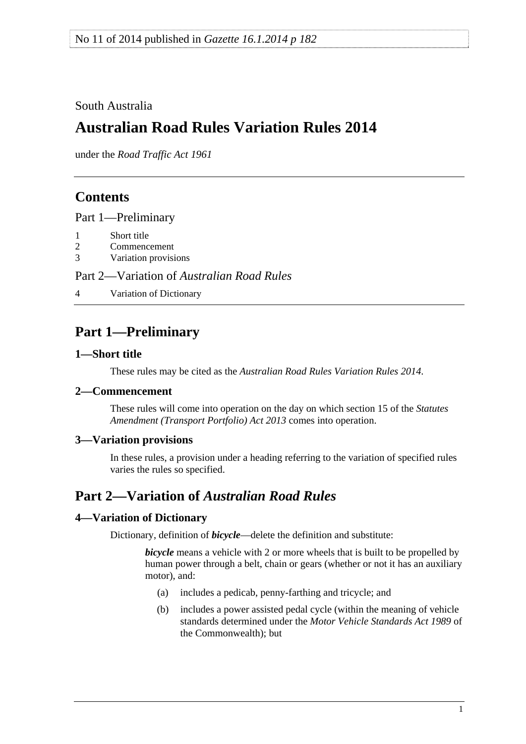<span id="page-0-0"></span>South Australia

# **Australian Road Rules Variation Rules 2014**

under the *Road Traffic Act 1961*

## **Contents**

[Part 1—Preliminary](#page-0-0)

- [1 Short title](#page-0-0)
- [2 Commencement](#page-0-0)
- [3 Variation provisions](#page-0-0)

Part 2—Variation of *[Australian Road Rules](#page-0-0)*

[4 Variation of Dictionary](#page-0-0)

## **Part 1—Preliminary**

### **1—Short title**

These rules may be cited as the *[Australian Road Rules Variation Rules 2014](http://www.legislation.sa.gov.au/index.aspx?action=legref&type=subordleg&legtitle=Australian%20Road%20Rules%20Variation%20Rules%202014)*.

## **2—Commencement**

These rules will come into operation on the day on which section 15 of the *[Statutes](http://www.legislation.sa.gov.au/index.aspx?action=legref&type=act&legtitle=Statutes%20Amendment%20(Transport%20Portfolio)%20Act%202013)  [Amendment \(Transport Portfolio\) Act 2013](http://www.legislation.sa.gov.au/index.aspx?action=legref&type=act&legtitle=Statutes%20Amendment%20(Transport%20Portfolio)%20Act%202013)* comes into operation.

### **3—Variation provisions**

In these rules, a provision under a heading referring to the variation of specified rules varies the rules so specified.

## **Part 2—Variation of** *Australian Road Rules*

## **4—Variation of Dictionary**

Dictionary, definition of *bicycle*—delete the definition and substitute:

*bicycle* means a vehicle with 2 or more wheels that is built to be propelled by human power through a belt, chain or gears (whether or not it has an auxiliary motor), and:

- (a) includes a pedicab, penny-farthing and tricycle; and
- (b) includes a power assisted pedal cycle (within the meaning of vehicle standards determined under the *Motor Vehicle Standards Act 1989* of the Commonwealth); but